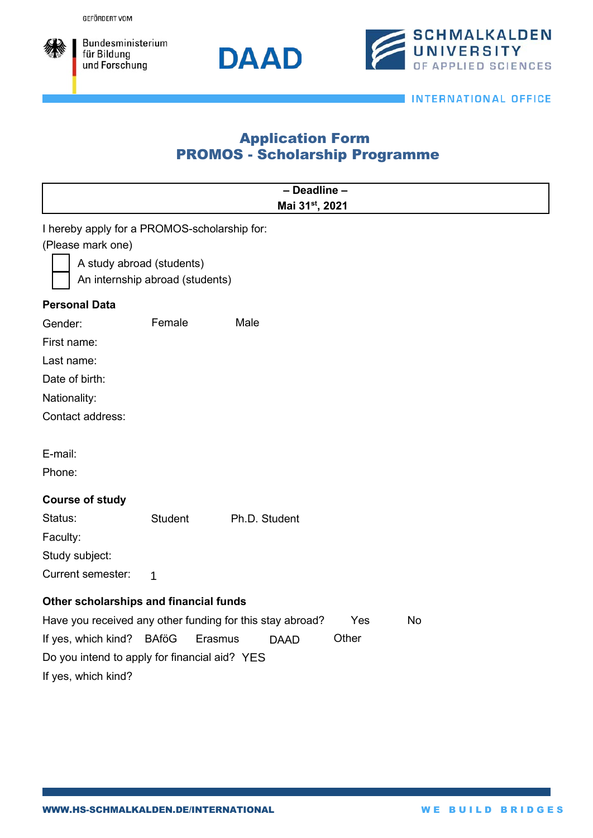

Bundesministerium für Bildung und Forschung





**INTERNATIONAL OFFICE** 

## Application Form PROMOS - Scholarship Programme

| - Deadline -                                                                  |                |               |  |  |
|-------------------------------------------------------------------------------|----------------|---------------|--|--|
| Mai 31st, 2021                                                                |                |               |  |  |
| I hereby apply for a PROMOS-scholarship for:                                  |                |               |  |  |
| (Please mark one)                                                             |                |               |  |  |
| A study abroad (students)<br>An internship abroad (students)                  |                |               |  |  |
|                                                                               |                |               |  |  |
| <b>Personal Data</b>                                                          |                |               |  |  |
| Gender:                                                                       | Female         | Male          |  |  |
| First name:                                                                   |                |               |  |  |
| Last name:                                                                    |                |               |  |  |
| Date of birth:                                                                |                |               |  |  |
| Nationality:                                                                  |                |               |  |  |
| Contact address:                                                              |                |               |  |  |
|                                                                               |                |               |  |  |
| E-mail:                                                                       |                |               |  |  |
| Phone:                                                                        |                |               |  |  |
| <b>Course of study</b>                                                        |                |               |  |  |
| Status:                                                                       | <b>Student</b> | Ph.D. Student |  |  |
| Faculty:                                                                      |                |               |  |  |
| Study subject:                                                                |                |               |  |  |
| <b>Current semester:</b>                                                      | $\mathbf{1}$   |               |  |  |
|                                                                               |                |               |  |  |
| Other scholarships and financial funds                                        |                |               |  |  |
| Have you received any other funding for this stay abroad?<br>Yes<br><b>No</b> |                |               |  |  |
| If yes, which kind? BAföG<br>Other<br>Erasmus<br><b>DAAD</b>                  |                |               |  |  |
| Do you intend to apply for financial aid? YES                                 |                |               |  |  |
| If yes, which kind?                                                           |                |               |  |  |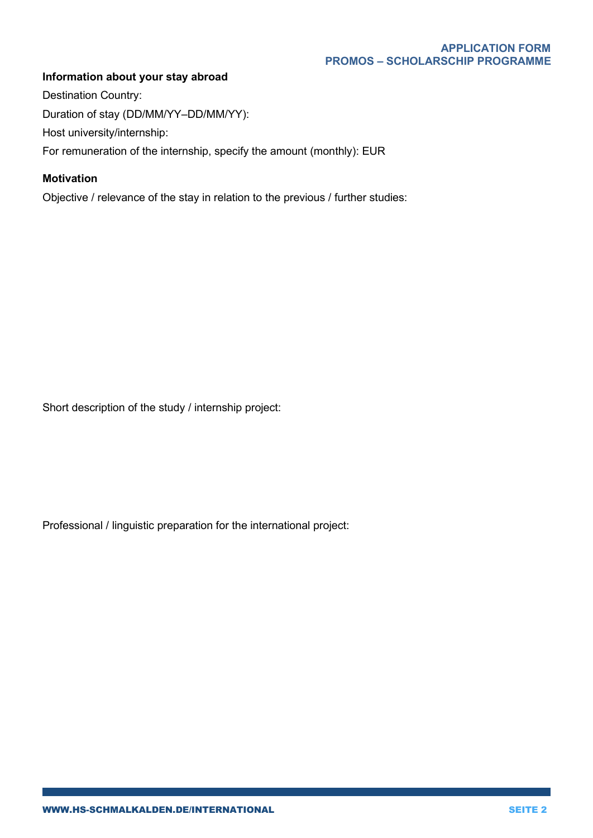## **Information about your stay abroad**

Destination Country: Duration of stay (DD/MM/YY–DD/MM/YY): Host university/internship: For remuneration of the internship, specify the amount (monthly): EUR

## **Motivation**

Objective / relevance of the stay in relation to the previous / further studies:

Short description of the study / internship project:

Professional / linguistic preparation for the international project: